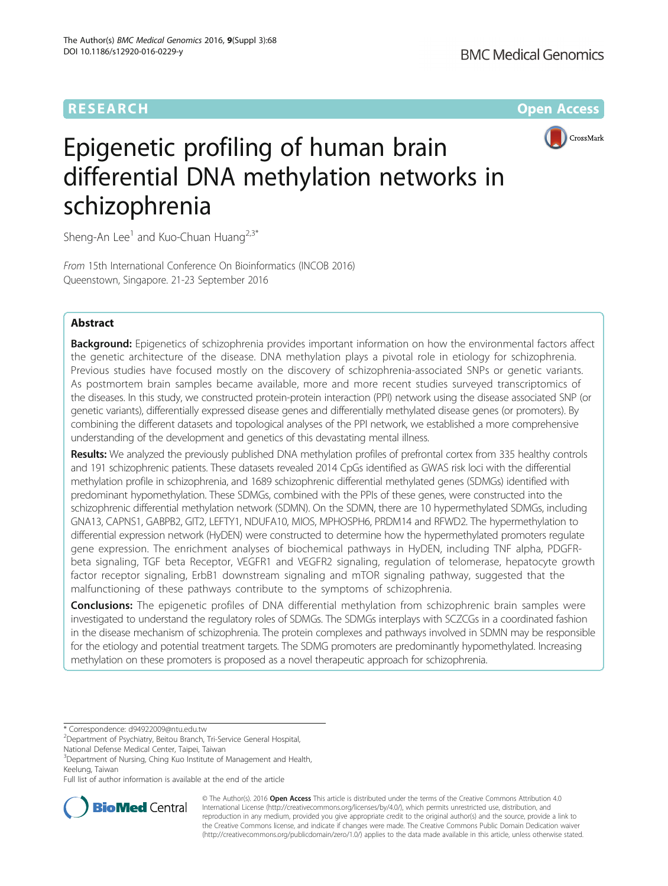# **RESEARCH CHE Open Access**



# Epigenetic profiling of human brain differential DNA methylation networks in schizophrenia

Sheng-An Lee<sup>1</sup> and Kuo-Chuan Huang<sup>2,3\*</sup>

From 15th International Conference On Bioinformatics (INCOB 2016) Queenstown, Singapore. 21-23 September 2016

# Abstract

**Background:** Epigenetics of schizophrenia provides important information on how the environmental factors affect the genetic architecture of the disease. DNA methylation plays a pivotal role in etiology for schizophrenia. Previous studies have focused mostly on the discovery of schizophrenia-associated SNPs or genetic variants. As postmortem brain samples became available, more and more recent studies surveyed transcriptomics of the diseases. In this study, we constructed protein-protein interaction (PPI) network using the disease associated SNP (or genetic variants), differentially expressed disease genes and differentially methylated disease genes (or promoters). By combining the different datasets and topological analyses of the PPI network, we established a more comprehensive understanding of the development and genetics of this devastating mental illness.

Results: We analyzed the previously published DNA methylation profiles of prefrontal cortex from 335 healthy controls and 191 schizophrenic patients. These datasets revealed 2014 CpGs identified as GWAS risk loci with the differential methylation profile in schizophrenia, and 1689 schizophrenic differential methylated genes (SDMGs) identified with predominant hypomethylation. These SDMGs, combined with the PPIs of these genes, were constructed into the schizophrenic differential methylation network (SDMN). On the SDMN, there are 10 hypermethylated SDMGs, including GNA13, CAPNS1, GABPB2, GIT2, LEFTY1, NDUFA10, MIOS, MPHOSPH6, PRDM14 and RFWD2. The hypermethylation to differential expression network (HyDEN) were constructed to determine how the hypermethylated promoters regulate gene expression. The enrichment analyses of biochemical pathways in HyDEN, including TNF alpha, PDGFRbeta signaling, TGF beta Receptor, VEGFR1 and VEGFR2 signaling, regulation of telomerase, hepatocyte growth factor receptor signaling, ErbB1 downstream signaling and mTOR signaling pathway, suggested that the malfunctioning of these pathways contribute to the symptoms of schizophrenia.

**Conclusions:** The epigenetic profiles of DNA differential methylation from schizophrenic brain samples were investigated to understand the regulatory roles of SDMGs. The SDMGs interplays with SCZCGs in a coordinated fashion in the disease mechanism of schizophrenia. The protein complexes and pathways involved in SDMN may be responsible for the etiology and potential treatment targets. The SDMG promoters are predominantly hypomethylated. Increasing methylation on these promoters is proposed as a novel therapeutic approach for schizophrenia.

\* Correspondence: [d94922009@ntu.edu.tw](mailto:d94922009@ntu.edu.tw) <sup>2</sup>

National Defense Medical Center, Taipei, Taiwan

<sup>3</sup>Department of Nursing, Ching Kuo Institute of Management and Health, Keelung, Taiwan

Full list of author information is available at the end of the article



© The Author(s). 2016 Open Access This article is distributed under the terms of the Creative Commons Attribution 4.0 International License [\(http://creativecommons.org/licenses/by/4.0/](http://creativecommons.org/licenses/by/4.0/)), which permits unrestricted use, distribution, and reproduction in any medium, provided you give appropriate credit to the original author(s) and the source, provide a link to the Creative Commons license, and indicate if changes were made. The Creative Commons Public Domain Dedication waiver [\(http://creativecommons.org/publicdomain/zero/1.0/](http://creativecommons.org/publicdomain/zero/1.0/)) applies to the data made available in this article, unless otherwise stated.

<sup>&</sup>lt;sup>2</sup> Department of Psychiatry, Beitou Branch, Tri-Service General Hospital,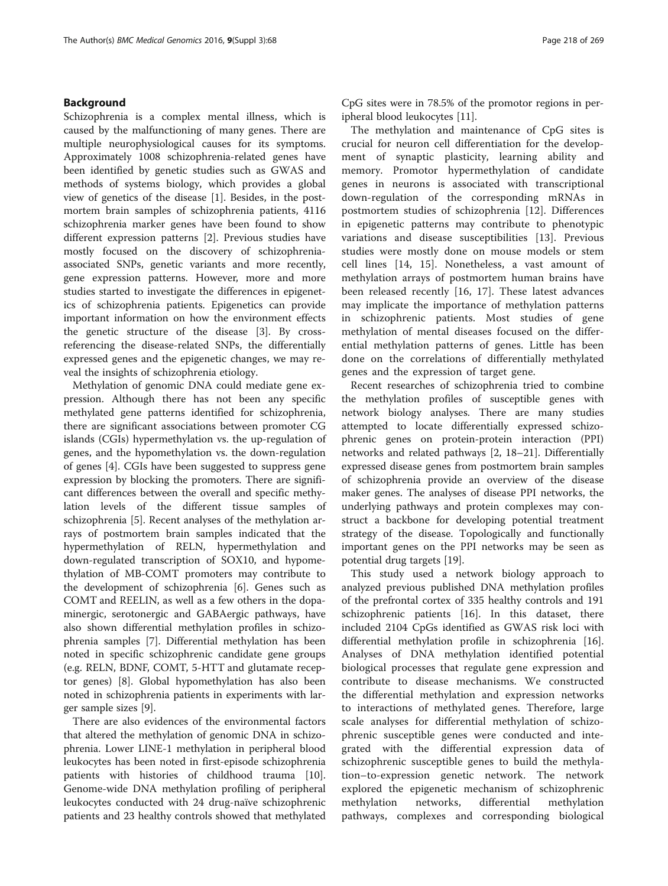## Background

Schizophrenia is a complex mental illness, which is caused by the malfunctioning of many genes. There are multiple neurophysiological causes for its symptoms. Approximately 1008 schizophrenia-related genes have been identified by genetic studies such as GWAS and methods of systems biology, which provides a global view of genetics of the disease [\[1](#page-9-0)]. Besides, in the postmortem brain samples of schizophrenia patients, 4116 schizophrenia marker genes have been found to show different expression patterns [[2\]](#page-9-0). Previous studies have mostly focused on the discovery of schizophreniaassociated SNPs, genetic variants and more recently, gene expression patterns. However, more and more studies started to investigate the differences in epigenetics of schizophrenia patients. Epigenetics can provide important information on how the environment effects the genetic structure of the disease [\[3](#page-9-0)]. By crossreferencing the disease-related SNPs, the differentially expressed genes and the epigenetic changes, we may reveal the insights of schizophrenia etiology.

Methylation of genomic DNA could mediate gene expression. Although there has not been any specific methylated gene patterns identified for schizophrenia, there are significant associations between promoter CG islands (CGIs) hypermethylation vs. the up-regulation of genes, and the hypomethylation vs. the down-regulation of genes [[4\]](#page-9-0). CGIs have been suggested to suppress gene expression by blocking the promoters. There are significant differences between the overall and specific methylation levels of the different tissue samples of schizophrenia [\[5](#page-9-0)]. Recent analyses of the methylation arrays of postmortem brain samples indicated that the hypermethylation of RELN, hypermethylation and down-regulated transcription of SOX10, and hypomethylation of MB-COMT promoters may contribute to the development of schizophrenia [[6\]](#page-9-0). Genes such as COMT and REELIN, as well as a few others in the dopaminergic, serotonergic and GABAergic pathways, have also shown differential methylation profiles in schizophrenia samples [\[7\]](#page-9-0). Differential methylation has been noted in specific schizophrenic candidate gene groups (e.g. RELN, BDNF, COMT, 5-HTT and glutamate receptor genes) [[8](#page-9-0)]. Global hypomethylation has also been noted in schizophrenia patients in experiments with larger sample sizes [[9\]](#page-9-0).

There are also evidences of the environmental factors that altered the methylation of genomic DNA in schizophrenia. Lower LINE-1 methylation in peripheral blood leukocytes has been noted in first-episode schizophrenia patients with histories of childhood trauma [\[10](#page-9-0)]. Genome-wide DNA methylation profiling of peripheral leukocytes conducted with 24 drug-naïve schizophrenic patients and 23 healthy controls showed that methylated CpG sites were in 78.5% of the promotor regions in peripheral blood leukocytes [\[11](#page-9-0)].

The methylation and maintenance of CpG sites is crucial for neuron cell differentiation for the development of synaptic plasticity, learning ability and memory. Promotor hypermethylation of candidate genes in neurons is associated with transcriptional down-regulation of the corresponding mRNAs in postmortem studies of schizophrenia [[12\]](#page-9-0). Differences in epigenetic patterns may contribute to phenotypic variations and disease susceptibilities [[13\]](#page-9-0). Previous studies were mostly done on mouse models or stem cell lines [\[14](#page-9-0), [15](#page-10-0)]. Nonetheless, a vast amount of methylation arrays of postmortem human brains have been released recently [\[16](#page-10-0), [17](#page-10-0)]. These latest advances may implicate the importance of methylation patterns in schizophrenic patients. Most studies of gene methylation of mental diseases focused on the differential methylation patterns of genes. Little has been done on the correlations of differentially methylated genes and the expression of target gene.

Recent researches of schizophrenia tried to combine the methylation profiles of susceptible genes with network biology analyses. There are many studies attempted to locate differentially expressed schizophrenic genes on protein-protein interaction (PPI) networks and related pathways [\[2](#page-9-0), [18](#page-10-0)–[21\]](#page-10-0). Differentially expressed disease genes from postmortem brain samples of schizophrenia provide an overview of the disease maker genes. The analyses of disease PPI networks, the underlying pathways and protein complexes may construct a backbone for developing potential treatment strategy of the disease. Topologically and functionally important genes on the PPI networks may be seen as potential drug targets [\[19\]](#page-10-0).

This study used a network biology approach to analyzed previous published DNA methylation profiles of the prefrontal cortex of 335 healthy controls and 191 schizophrenic patients [[16\]](#page-10-0). In this dataset, there included 2104 CpGs identified as GWAS risk loci with differential methylation profile in schizophrenia [\[16](#page-10-0)]. Analyses of DNA methylation identified potential biological processes that regulate gene expression and contribute to disease mechanisms. We constructed the differential methylation and expression networks to interactions of methylated genes. Therefore, large scale analyses for differential methylation of schizophrenic susceptible genes were conducted and integrated with the differential expression data of schizophrenic susceptible genes to build the methylation–to-expression genetic network. The network explored the epigenetic mechanism of schizophrenic methylation networks, differential methylation pathways, complexes and corresponding biological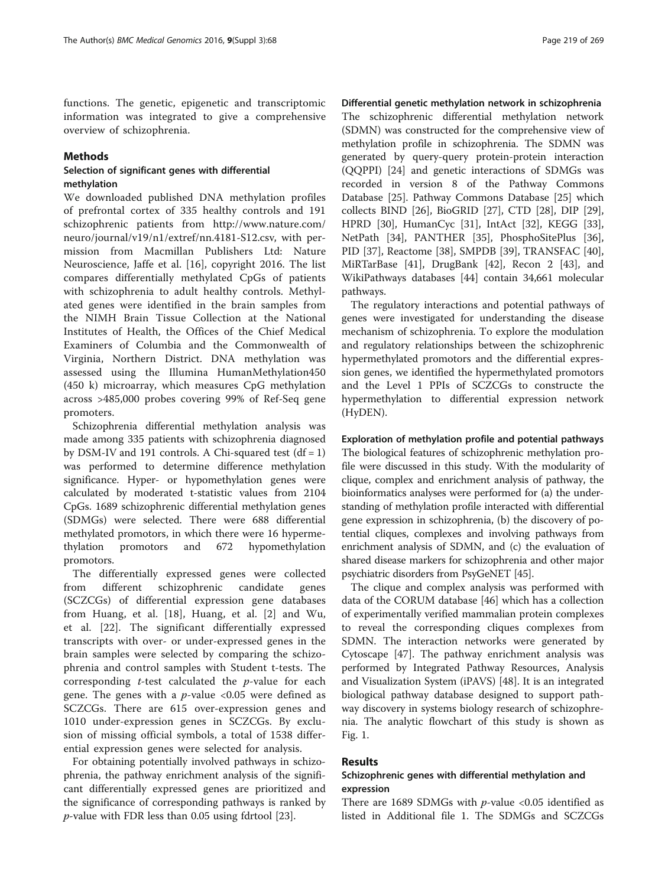functions. The genetic, epigenetic and transcriptomic information was integrated to give a comprehensive overview of schizophrenia.

#### Methods

### Selection of significant genes with differential methylation

We downloaded published DNA methylation profiles of prefrontal cortex of 335 healthy controls and 191 schizophrenic patients from [http://www.nature.com/](http://www.nature.com/neuro/journal/v19/n1/extref/nn.4181-S12.csv) [neuro/journal/v19/n1/extref/nn.4181-S12.csv,](http://www.nature.com/neuro/journal/v19/n1/extref/nn.4181-S12.csv) with permission from Macmillan Publishers Ltd: Nature Neuroscience, Jaffe et al. [\[16](#page-10-0)], copyright 2016. The list compares differentially methylated CpGs of patients with schizophrenia to adult healthy controls. Methylated genes were identified in the brain samples from the NIMH Brain Tissue Collection at the National Institutes of Health, the Offices of the Chief Medical Examiners of Columbia and the Commonwealth of Virginia, Northern District. DNA methylation was assessed using the Illumina HumanMethylation450 (450 k) microarray, which measures CpG methylation across >485,000 probes covering 99% of Ref-Seq gene promoters.

Schizophrenia differential methylation analysis was made among 335 patients with schizophrenia diagnosed by DSM-IV and 191 controls. A Chi-squared test  $(df = 1)$ was performed to determine difference methylation significance. Hyper- or hypomethylation genes were calculated by moderated t-statistic values from 2104 CpGs. 1689 schizophrenic differential methylation genes (SDMGs) were selected. There were 688 differential methylated promotors, in which there were 16 hypermethylation promotors and 672 hypomethylation promotors.

The differentially expressed genes were collected from different schizophrenic candidate genes (SCZCGs) of differential expression gene databases from Huang, et al. [[18\]](#page-10-0), Huang, et al. [\[2](#page-9-0)] and Wu, et al. [\[22](#page-10-0)]. The significant differentially expressed transcripts with over- or under-expressed genes in the brain samples were selected by comparing the schizophrenia and control samples with Student t-tests. The corresponding  $t$ -test calculated the  $p$ -value for each gene. The genes with a  $p$ -value <0.05 were defined as SCZCGs. There are 615 over-expression genes and 1010 under-expression genes in SCZCGs. By exclusion of missing official symbols, a total of 1538 differential expression genes were selected for analysis.

For obtaining potentially involved pathways in schizophrenia, the pathway enrichment analysis of the significant differentially expressed genes are prioritized and the significance of corresponding pathways is ranked by  $p$ -value with FDR less than 0.05 using fdrtool [[23\]](#page-10-0).

Differential genetic methylation network in schizophrenia The schizophrenic differential methylation network (SDMN) was constructed for the comprehensive view of methylation profile in schizophrenia. The SDMN was generated by query-query protein-protein interaction (QQPPI) [[24\]](#page-10-0) and genetic interactions of SDMGs was recorded in version 8 of the Pathway Commons Database [[25\]](#page-10-0). Pathway Commons Database [\[25\]](#page-10-0) which collects BIND [\[26](#page-10-0)], BioGRID [\[27\]](#page-10-0), CTD [\[28\]](#page-10-0), DIP [\[29](#page-10-0)], HPRD [\[30\]](#page-10-0), HumanCyc [[31\]](#page-10-0), IntAct [[32](#page-10-0)], KEGG [\[33](#page-10-0)], NetPath [[34\]](#page-10-0), PANTHER [\[35](#page-10-0)], PhosphoSitePlus [\[36](#page-10-0)], PID [[37\]](#page-10-0), Reactome [[38](#page-10-0)], SMPDB [[39\]](#page-10-0), TRANSFAC [\[40](#page-10-0)], MiRTarBase [[41\]](#page-10-0), DrugBank [[42](#page-10-0)], Recon 2 [\[43](#page-10-0)], and WikiPathways databases [[44\]](#page-10-0) contain 34,661 molecular pathways.

The regulatory interactions and potential pathways of genes were investigated for understanding the disease mechanism of schizophrenia. To explore the modulation and regulatory relationships between the schizophrenic hypermethylated promotors and the differential expression genes, we identified the hypermethylated promotors and the Level 1 PPIs of SCZCGs to constructe the hypermethylation to differential expression network (HyDEN).

Exploration of methylation profile and potential pathways The biological features of schizophrenic methylation profile were discussed in this study. With the modularity of clique, complex and enrichment analysis of pathway, the bioinformatics analyses were performed for (a) the understanding of methylation profile interacted with differential gene expression in schizophrenia, (b) the discovery of potential cliques, complexes and involving pathways from enrichment analysis of SDMN, and (c) the evaluation of shared disease markers for schizophrenia and other major psychiatric disorders from PsyGeNET [\[45](#page-10-0)].

The clique and complex analysis was performed with data of the CORUM database [[46\]](#page-10-0) which has a collection of experimentally verified mammalian protein complexes to reveal the corresponding cliques complexes from SDMN. The interaction networks were generated by Cytoscape [[47](#page-10-0)]. The pathway enrichment analysis was performed by Integrated Pathway Resources, Analysis and Visualization System (iPAVS) [\[48](#page-10-0)]. It is an integrated biological pathway database designed to support pathway discovery in systems biology research of schizophrenia. The analytic flowchart of this study is shown as Fig. [1](#page-3-0).

#### Results

# Schizophrenic genes with differential methylation and expression

There are 1689 SDMGs with  $p$ -value <0.05 identified as listed in Additional file [1](#page-9-0). The SDMGs and SCZCGs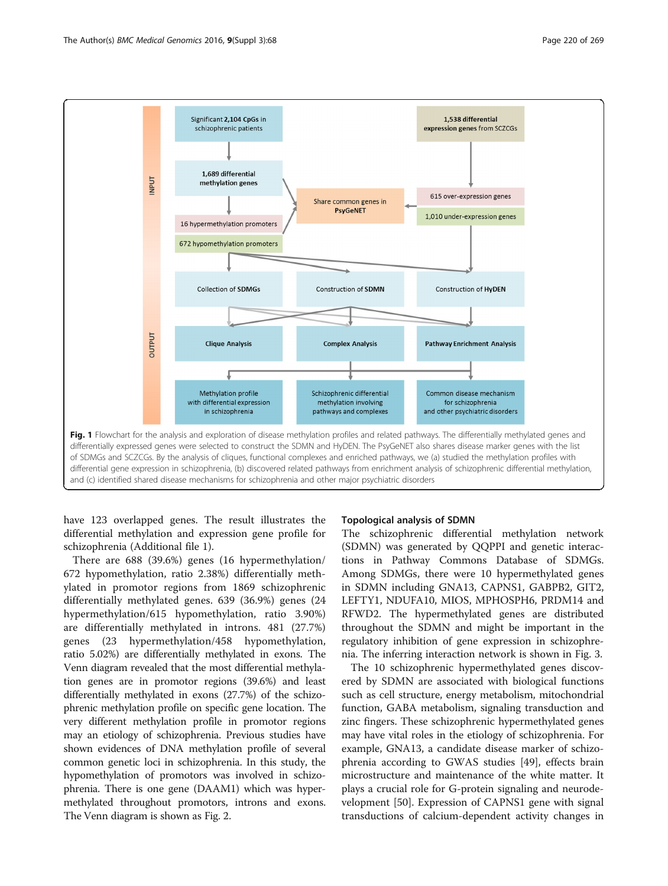<span id="page-3-0"></span>

have 123 overlapped genes. The result illustrates the differential methylation and expression gene profile for schizophrenia (Additional file [1\)](#page-9-0).

There are 688 (39.6%) genes (16 hypermethylation/ 672 hypomethylation, ratio 2.38%) differentially methylated in promotor regions from 1869 schizophrenic differentially methylated genes. 639 (36.9%) genes (24 hypermethylation/615 hypomethylation, ratio 3.90%) are differentially methylated in introns. 481 (27.7%) genes (23 hypermethylation/458 hypomethylation, ratio 5.02%) are differentially methylated in exons. The Venn diagram revealed that the most differential methylation genes are in promotor regions (39.6%) and least differentially methylated in exons (27.7%) of the schizophrenic methylation profile on specific gene location. The very different methylation profile in promotor regions may an etiology of schizophrenia. Previous studies have shown evidences of DNA methylation profile of several common genetic loci in schizophrenia. In this study, the hypomethylation of promotors was involved in schizophrenia. There is one gene (DAAM1) which was hypermethylated throughout promotors, introns and exons. The Venn diagram is shown as Fig. [2](#page-4-0).

#### Topological analysis of SDMN

The schizophrenic differential methylation network (SDMN) was generated by QQPPI and genetic interactions in Pathway Commons Database of SDMGs. Among SDMGs, there were 10 hypermethylated genes in SDMN including GNA13, CAPNS1, GABPB2, GIT2, LEFTY1, NDUFA10, MIOS, MPHOSPH6, PRDM14 and RFWD2. The hypermethylated genes are distributed throughout the SDMN and might be important in the regulatory inhibition of gene expression in schizophrenia. The inferring interaction network is shown in Fig. [3](#page-5-0).

The 10 schizophrenic hypermethylated genes discovered by SDMN are associated with biological functions such as cell structure, energy metabolism, mitochondrial function, GABA metabolism, signaling transduction and zinc fingers. These schizophrenic hypermethylated genes may have vital roles in the etiology of schizophrenia. For example, GNA13, a candidate disease marker of schizophrenia according to GWAS studies [\[49\]](#page-10-0), effects brain microstructure and maintenance of the white matter. It plays a crucial role for G-protein signaling and neurodevelopment [\[50\]](#page-10-0). Expression of CAPNS1 gene with signal transductions of calcium-dependent activity changes in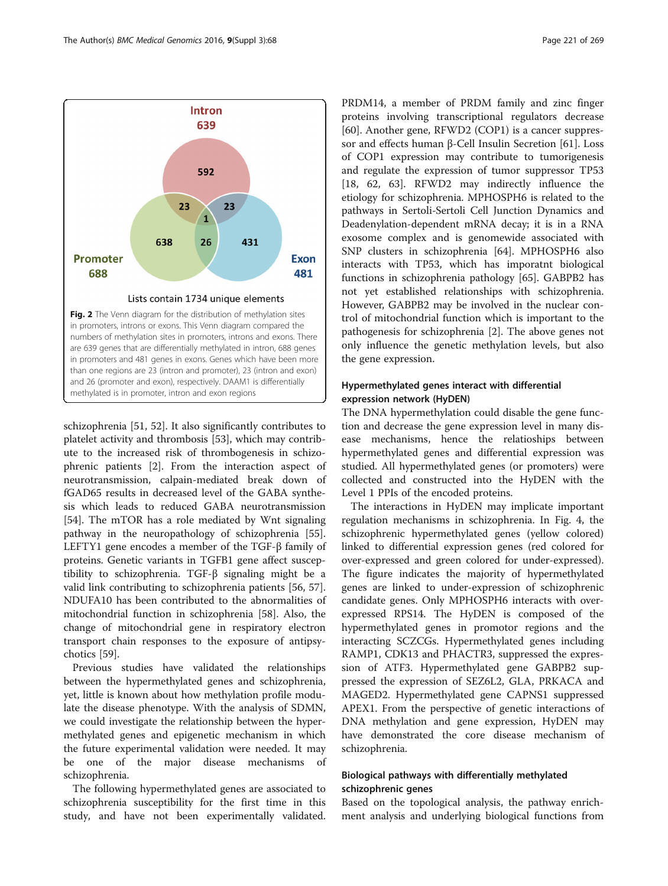<span id="page-4-0"></span>

than one regions are 23 (intron and promoter), 23 (intron and exon) and 26 (promoter and exon), respectively. DAAM1 is differentially

methylated is in promoter, intron and exon regions

schizophrenia [\[51](#page-10-0), [52](#page-10-0)]. It also significantly contributes to platelet activity and thrombosis [[53\]](#page-10-0), which may contribute to the increased risk of thrombogenesis in schizophrenic patients [[2\]](#page-9-0). From the interaction aspect of neurotransmission, calpain-mediated break down of fGAD65 results in decreased level of the GABA synthesis which leads to reduced GABA neurotransmission [[54\]](#page-10-0). The mTOR has a role mediated by Wnt signaling pathway in the neuropathology of schizophrenia [\[55](#page-10-0)]. LEFTY1 gene encodes a member of the TGF-β family of proteins. Genetic variants in TGFB1 gene affect susceptibility to schizophrenia. TGF-β signaling might be a valid link contributing to schizophrenia patients [\[56](#page-10-0), [57](#page-10-0)]. NDUFA10 has been contributed to the abnormalities of mitochondrial function in schizophrenia [\[58](#page-10-0)]. Also, the change of mitochondrial gene in respiratory electron transport chain responses to the exposure of antipsychotics [[59](#page-10-0)].

Previous studies have validated the relationships between the hypermethylated genes and schizophrenia, yet, little is known about how methylation profile modulate the disease phenotype. With the analysis of SDMN, we could investigate the relationship between the hypermethylated genes and epigenetic mechanism in which the future experimental validation were needed. It may be one of the major disease mechanisms of schizophrenia.

The following hypermethylated genes are associated to schizophrenia susceptibility for the first time in this study, and have not been experimentally validated.

PRDM14, a member of PRDM family and zinc finger proteins involving transcriptional regulators decrease [[60\]](#page-10-0). Another gene, RFWD2 (COP1) is a cancer suppressor and effects human β-Cell Insulin Secretion [\[61](#page-10-0)]. Loss of COP1 expression may contribute to tumorigenesis and regulate the expression of tumor suppressor TP53 [[18, 62](#page-10-0), [63\]](#page-10-0). RFWD2 may indirectly influence the etiology for schizophrenia. MPHOSPH6 is related to the pathways in Sertoli-Sertoli Cell Junction Dynamics and Deadenylation-dependent mRNA decay; it is in a RNA exosome complex and is genomewide associated with SNP clusters in schizophrenia [[64](#page-10-0)]. MPHOSPH6 also interacts with TP53, which has imporatnt biological functions in schizophrenia pathology [[65\]](#page-10-0). GABPB2 has not yet established relationships with schizophrenia. However, GABPB2 may be involved in the nuclear control of mitochondrial function which is important to the pathogenesis for schizophrenia [[2](#page-9-0)]. The above genes not only influence the genetic methylation levels, but also the gene expression.

# Hypermethylated genes interact with differential expression network (HyDEN)

The DNA hypermethylation could disable the gene function and decrease the gene expression level in many disease mechanisms, hence the relatioships between hypermethylated genes and differential expression was studied. All hypermethylated genes (or promoters) were collected and constructed into the HyDEN with the Level 1 PPIs of the encoded proteins.

The interactions in HyDEN may implicate important regulation mechanisms in schizophrenia. In Fig. [4,](#page-6-0) the schizophrenic hypermethylated genes (yellow colored) linked to differential expression genes (red colored for over-expressed and green colored for under-expressed). The figure indicates the majority of hypermethylated genes are linked to under-expression of schizophrenic candidate genes. Only MPHOSPH6 interacts with overexpressed RPS14. The HyDEN is composed of the hypermethylated genes in promotor regions and the interacting SCZCGs. Hypermethylated genes including RAMP1, CDK13 and PHACTR3, suppressed the expression of ATF3. Hypermethylated gene GABPB2 suppressed the expression of SEZ6L2, GLA, PRKACA and MAGED2. Hypermethylated gene CAPNS1 suppressed APEX1. From the perspective of genetic interactions of DNA methylation and gene expression, HyDEN may have demonstrated the core disease mechanism of schizophrenia.

# Biological pathways with differentially methylated schizophrenic genes

Based on the topological analysis, the pathway enrichment analysis and underlying biological functions from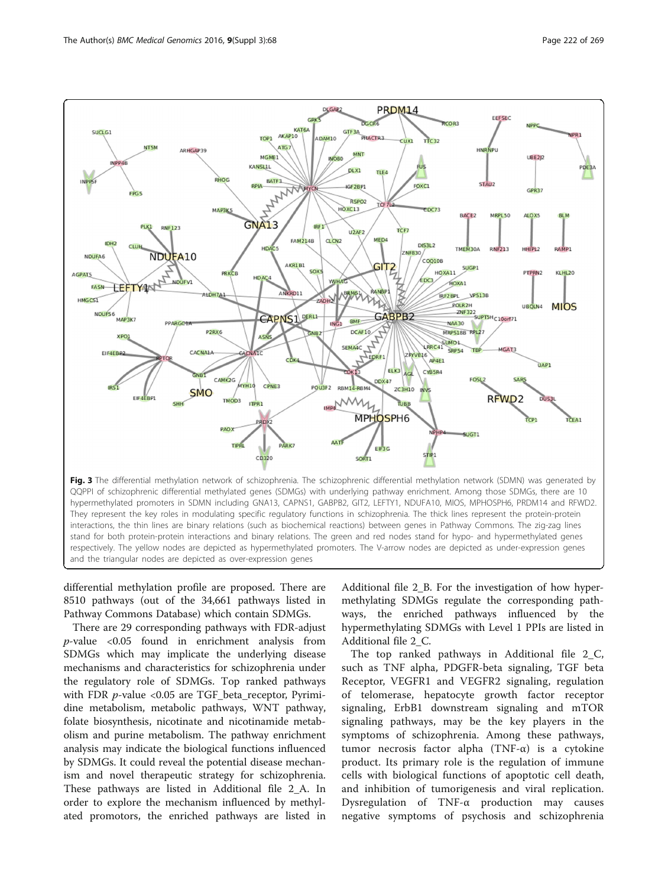<span id="page-5-0"></span>

differential methylation profile are proposed. There are 8510 pathways (out of the 34,661 pathways listed in Pathway Commons Database) which contain SDMGs.

There are 29 corresponding pathways with FDR-adjust  $p$ -value <0.05 found in enrichment analysis from SDMGs which may implicate the underlying disease mechanisms and characteristics for schizophrenia under the regulatory role of SDMGs. Top ranked pathways with FDR *p*-value <0.05 are TGF\_beta\_receptor, Pyrimidine metabolism, metabolic pathways, WNT pathway, folate biosynthesis, nicotinate and nicotinamide metabolism and purine metabolism. The pathway enrichment analysis may indicate the biological functions influenced by SDMGs. It could reveal the potential disease mechanism and novel therapeutic strategy for schizophrenia. These pathways are listed in Additional file [2](#page-9-0)\_A. In order to explore the mechanism influenced by methylated promotors, the enriched pathways are listed in

Additional file [2\\_](#page-9-0)B. For the investigation of how hypermethylating SDMGs regulate the corresponding pathways, the enriched pathways influenced by the hypermethylating SDMGs with Level 1 PPIs are listed in Additional file [2](#page-9-0)\_C.

The top ranked pathways in Additional file [2\\_](#page-9-0)C, such as TNF alpha, PDGFR-beta signaling, TGF beta Receptor, VEGFR1 and VEGFR2 signaling, regulation of telomerase, hepatocyte growth factor receptor signaling, ErbB1 downstream signaling and mTOR signaling pathways, may be the key players in the symptoms of schizophrenia. Among these pathways, tumor necrosis factor alpha (TNF-α) is a cytokine product. Its primary role is the regulation of immune cells with biological functions of apoptotic cell death, and inhibition of tumorigenesis and viral replication. Dysregulation of TNF-α production may causes negative symptoms of psychosis and schizophrenia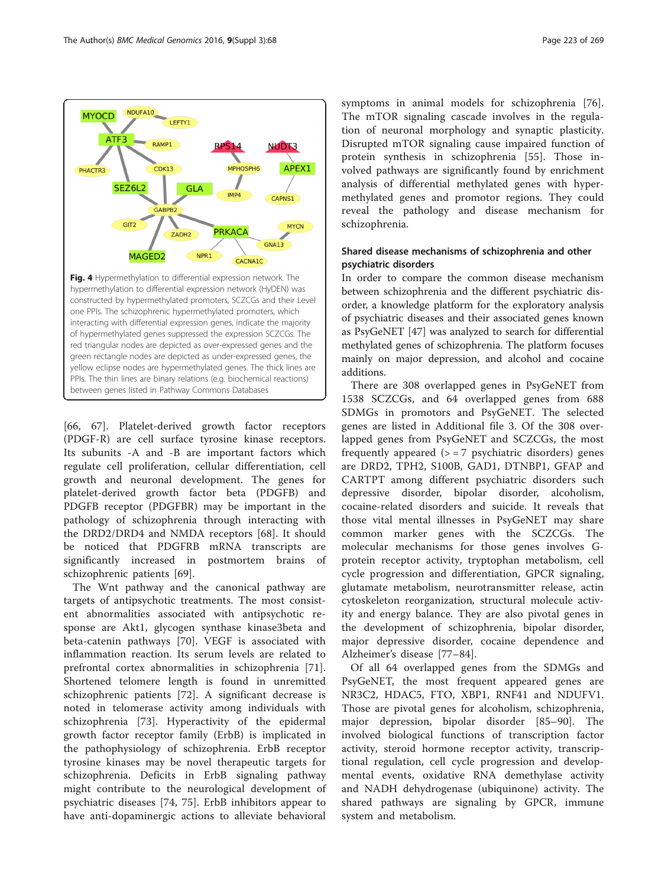<span id="page-6-0"></span>

[[66, 67](#page-10-0)]. Platelet-derived growth factor receptors (PDGF-R) are cell surface tyrosine kinase receptors. Its subunits -A and -B are important factors which regulate cell proliferation, cellular differentiation, cell growth and neuronal development. The genes for platelet-derived growth factor beta (PDGFB) and PDGFB receptor (PDGFBR) may be important in the pathology of schizophrenia through interacting with the DRD2/DRD4 and NMDA receptors [[68\]](#page-10-0). It should be noticed that PDGFRB mRNA transcripts are significantly increased in postmortem brains of schizophrenic patients [\[69](#page-10-0)].

The Wnt pathway and the canonical pathway are targets of antipsychotic treatments. The most consistent abnormalities associated with antipsychotic response are Akt1, glycogen synthase kinase3beta and beta-catenin pathways [[70\]](#page-10-0). VEGF is associated with inflammation reaction. Its serum levels are related to prefrontal cortex abnormalities in schizophrenia [\[71](#page-10-0)]. Shortened telomere length is found in unremitted schizophrenic patients [\[72](#page-10-0)]. A significant decrease is noted in telomerase activity among individuals with schizophrenia [\[73](#page-10-0)]. Hyperactivity of the epidermal growth factor receptor family (ErbB) is implicated in the pathophysiology of schizophrenia. ErbB receptor tyrosine kinases may be novel therapeutic targets for schizophrenia. Deficits in ErbB signaling pathway might contribute to the neurological development of psychiatric diseases [[74](#page-11-0), [75](#page-11-0)]. ErbB inhibitors appear to have anti-dopaminergic actions to alleviate behavioral

symptoms in animal models for schizophrenia [\[76](#page-11-0)]. The mTOR signaling cascade involves in the regulation of neuronal morphology and synaptic plasticity. Disrupted mTOR signaling cause impaired function of protein synthesis in schizophrenia [[55](#page-10-0)]. Those involved pathways are significantly found by enrichment analysis of differential methylated genes with hypermethylated genes and promotor regions. They could reveal the pathology and disease mechanism for schizophrenia.

# Shared disease mechanisms of schizophrenia and other psychiatric disorders

In order to compare the common disease mechanism between schizophrenia and the different psychiatric disorder, a knowledge platform for the exploratory analysis of psychiatric diseases and their associated genes known as PsyGeNET [\[47\]](#page-10-0) was analyzed to search for differential methylated genes of schizophrenia. The platform focuses mainly on major depression, and alcohol and cocaine additions.

There are 308 overlapped genes in PsyGeNET from 1538 SCZCGs, and 64 overlapped genes from 688 SDMGs in promotors and PsyGeNET. The selected genes are listed in Additional file [3.](#page-9-0) Of the 308 overlapped genes from PsyGeNET and SCZCGs, the most frequently appeared  $(>= 7$  psychiatric disorders) genes are DRD2, TPH2, S100B, GAD1, DTNBP1, GFAP and CARTPT among different psychiatric disorders such depressive disorder, bipolar disorder, alcoholism, cocaine-related disorders and suicide. It reveals that those vital mental illnesses in PsyGeNET may share common marker genes with the SCZCGs. The molecular mechanisms for those genes involves Gprotein receptor activity, tryptophan metabolism, cell cycle progression and differentiation, GPCR signaling, glutamate metabolism, neurotransmitter release, actin cytoskeleton reorganization, structural molecule activity and energy balance. They are also pivotal genes in the development of schizophrenia, bipolar disorder, major depressive disorder, cocaine dependence and Alzheimer's disease [[77](#page-11-0)–[84\]](#page-11-0).

Of all 64 overlapped genes from the SDMGs and PsyGeNET, the most frequent appeared genes are NR3C2, HDAC5, FTO, XBP1, RNF41 and NDUFV1. Those are pivotal genes for alcoholism, schizophrenia, major depression, bipolar disorder [[85](#page-11-0)–[90](#page-11-0)]. The involved biological functions of transcription factor activity, steroid hormone receptor activity, transcriptional regulation, cell cycle progression and developmental events, oxidative RNA demethylase activity and NADH dehydrogenase (ubiquinone) activity. The shared pathways are signaling by GPCR, immune system and metabolism.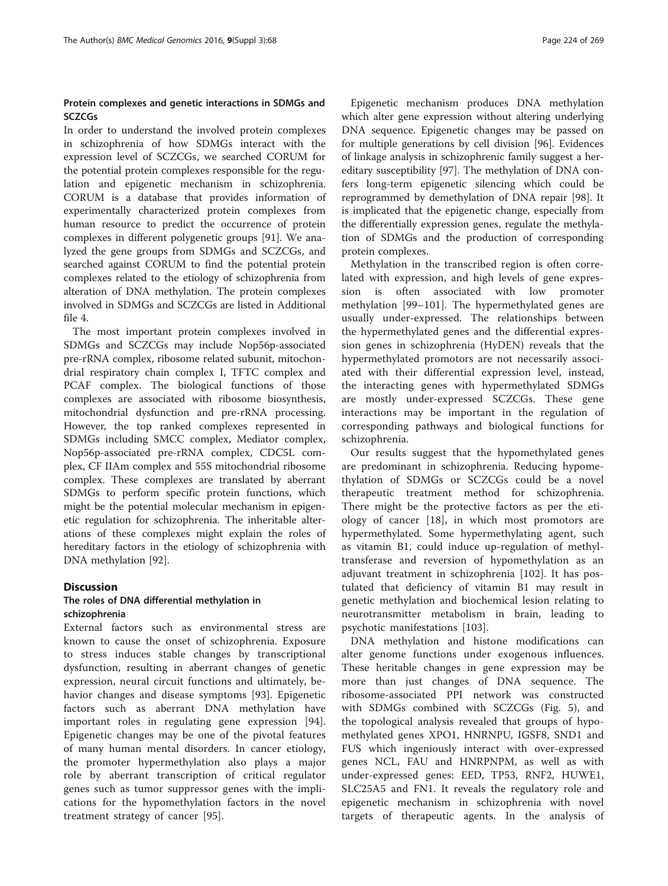# Protein complexes and genetic interactions in SDMGs and **SCZCGs**

In order to understand the involved protein complexes in schizophrenia of how SDMGs interact with the expression level of SCZCGs, we searched CORUM for the potential protein complexes responsible for the regulation and epigenetic mechanism in schizophrenia. CORUM is a database that provides information of experimentally characterized protein complexes from human resource to predict the occurrence of protein complexes in different polygenetic groups [\[91](#page-11-0)]. We analyzed the gene groups from SDMGs and SCZCGs, and searched against CORUM to find the potential protein complexes related to the etiology of schizophrenia from alteration of DNA methylation. The protein complexes involved in SDMGs and SCZCGs are listed in Additional file [4.](#page-9-0)

The most important protein complexes involved in SDMGs and SCZCGs may include Nop56p-associated pre-rRNA complex, ribosome related subunit, mitochondrial respiratory chain complex I, TFTC complex and PCAF complex. The biological functions of those complexes are associated with ribosome biosynthesis, mitochondrial dysfunction and pre-rRNA processing. However, the top ranked complexes represented in SDMGs including SMCC complex, Mediator complex, Nop56p-associated pre-rRNA complex, CDC5L complex, CF IIAm complex and 55S mitochondrial ribosome complex. These complexes are translated by aberrant SDMGs to perform specific protein functions, which might be the potential molecular mechanism in epigenetic regulation for schizophrenia. The inheritable alterations of these complexes might explain the roles of hereditary factors in the etiology of schizophrenia with DNA methylation [[92\]](#page-11-0).

#### **Discussion**

# The roles of DNA differential methylation in schizophrenia

External factors such as environmental stress are known to cause the onset of schizophrenia. Exposure to stress induces stable changes by transcriptional dysfunction, resulting in aberrant changes of genetic expression, neural circuit functions and ultimately, behavior changes and disease symptoms [[93\]](#page-11-0). Epigenetic factors such as aberrant DNA methylation have important roles in regulating gene expression [\[94](#page-11-0)]. Epigenetic changes may be one of the pivotal features of many human mental disorders. In cancer etiology, the promoter hypermethylation also plays a major role by aberrant transcription of critical regulator genes such as tumor suppressor genes with the implications for the hypomethylation factors in the novel treatment strategy of cancer [\[95](#page-11-0)].

Epigenetic mechanism produces DNA methylation which alter gene expression without altering underlying DNA sequence. Epigenetic changes may be passed on for multiple generations by cell division [[96](#page-11-0)]. Evidences of linkage analysis in schizophrenic family suggest a hereditary susceptibility [[97\]](#page-11-0). The methylation of DNA confers long-term epigenetic silencing which could be reprogrammed by demethylation of DNA repair [\[98\]](#page-11-0). It is implicated that the epigenetic change, especially from the differentially expression genes, regulate the methylation of SDMGs and the production of corresponding protein complexes.

Methylation in the transcribed region is often correlated with expression, and high levels of gene expression is often associated with low promoter methylation [\[99](#page-11-0)–[101](#page-11-0)]. The hypermethylated genes are usually under-expressed. The relationships between the hypermethylated genes and the differential expression genes in schizophrenia (HyDEN) reveals that the hypermethylated promotors are not necessarily associated with their differential expression level, instead, the interacting genes with hypermethylated SDMGs are mostly under-expressed SCZCGs. These gene interactions may be important in the regulation of corresponding pathways and biological functions for schizophrenia.

Our results suggest that the hypomethylated genes are predominant in schizophrenia. Reducing hypomethylation of SDMGs or SCZCGs could be a novel therapeutic treatment method for schizophrenia. There might be the protective factors as per the etiology of cancer [\[18](#page-10-0)], in which most promotors are hypermethylated. Some hypermethylating agent, such as vitamin B1, could induce up-regulation of methyltransferase and reversion of hypomethylation as an adjuvant treatment in schizophrenia [[102\]](#page-11-0). It has postulated that deficiency of vitamin B1 may result in genetic methylation and biochemical lesion relating to neurotransmitter metabolism in brain, leading to psychotic manifestations [\[103](#page-11-0)].

DNA methylation and histone modifications can alter genome functions under exogenous influences. These heritable changes in gene expression may be more than just changes of DNA sequence. The ribosome-associated PPI network was constructed with SDMGs combined with SCZCGs (Fig. [5\)](#page-8-0), and the topological analysis revealed that groups of hypomethylated genes XPO1, HNRNPU, IGSF8, SND1 and FUS which ingeniously interact with over-expressed genes NCL, FAU and HNRPNPM, as well as with under-expressed genes: EED, TP53, RNF2, HUWE1, SLC25A5 and FN1. It reveals the regulatory role and epigenetic mechanism in schizophrenia with novel targets of therapeutic agents. In the analysis of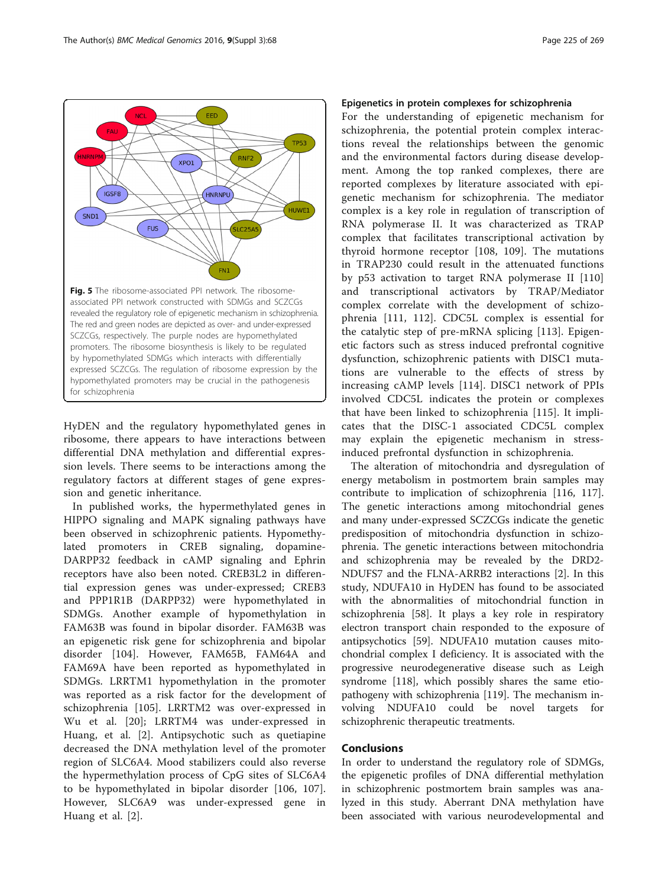<span id="page-8-0"></span>

HyDEN and the regulatory hypomethylated genes in ribosome, there appears to have interactions between differential DNA methylation and differential expression levels. There seems to be interactions among the regulatory factors at different stages of gene expression and genetic inheritance.

In published works, the hypermethylated genes in HIPPO signaling and MAPK signaling pathways have been observed in schizophrenic patients. Hypomethylated promoters in CREB signaling, dopamine-DARPP32 feedback in cAMP signaling and Ephrin receptors have also been noted. CREB3L2 in differential expression genes was under-expressed; CREB3 and PPP1R1B (DARPP32) were hypomethylated in SDMGs. Another example of hypomethylation in FAM63B was found in bipolar disorder. FAM63B was an epigenetic risk gene for schizophrenia and bipolar disorder [\[104](#page-11-0)]. However, FAM65B, FAM64A and FAM69A have been reported as hypomethylated in SDMGs. LRRTM1 hypomethylation in the promoter was reported as a risk factor for the development of schizophrenia [\[105](#page-11-0)]. LRRTM2 was over-expressed in Wu et al. [[20\]](#page-10-0); LRRTM4 was under-expressed in Huang, et al. [\[2](#page-9-0)]. Antipsychotic such as quetiapine decreased the DNA methylation level of the promoter region of SLC6A4. Mood stabilizers could also reverse the hypermethylation process of CpG sites of SLC6A4 to be hypomethylated in bipolar disorder [[106, 107](#page-11-0)]. However, SLC6A9 was under-expressed gene in Huang et al. [[2\]](#page-9-0).

#### Epigenetics in protein complexes for schizophrenia

For the understanding of epigenetic mechanism for schizophrenia, the potential protein complex interactions reveal the relationships between the genomic and the environmental factors during disease development. Among the top ranked complexes, there are reported complexes by literature associated with epigenetic mechanism for schizophrenia. The mediator complex is a key role in regulation of transcription of RNA polymerase II. It was characterized as TRAP complex that facilitates transcriptional activation by thyroid hormone receptor [[108, 109](#page-11-0)]. The mutations in TRAP230 could result in the attenuated functions by p53 activation to target RNA polymerase II [\[110](#page-11-0)] and transcriptional activators by TRAP/Mediator complex correlate with the development of schizophrenia [\[111](#page-11-0), [112](#page-11-0)]. CDC5L complex is essential for the catalytic step of pre-mRNA splicing [\[113](#page-11-0)]. Epigenetic factors such as stress induced prefrontal cognitive dysfunction, schizophrenic patients with DISC1 mutations are vulnerable to the effects of stress by increasing cAMP levels [[114\]](#page-11-0). DISC1 network of PPIs involved CDC5L indicates the protein or complexes that have been linked to schizophrenia [\[115](#page-11-0)]. It implicates that the DISC-1 associated CDC5L complex may explain the epigenetic mechanism in stressinduced prefrontal dysfunction in schizophrenia.

The alteration of mitochondria and dysregulation of energy metabolism in postmortem brain samples may contribute to implication of schizophrenia [\[116, 117](#page-11-0)]. The genetic interactions among mitochondrial genes and many under-expressed SCZCGs indicate the genetic predisposition of mitochondria dysfunction in schizophrenia. The genetic interactions between mitochondria and schizophrenia may be revealed by the DRD2- NDUFS7 and the FLNA-ARRB2 interactions [\[2](#page-9-0)]. In this study, NDUFA10 in HyDEN has found to be associated with the abnormalities of mitochondrial function in schizophrenia [\[58\]](#page-10-0). It plays a key role in respiratory electron transport chain responded to the exposure of antipsychotics [\[59](#page-10-0)]. NDUFA10 mutation causes mitochondrial complex I deficiency. It is associated with the progressive neurodegenerative disease such as Leigh syndrome [\[118\]](#page-11-0), which possibly shares the same etiopathogeny with schizophrenia [\[119\]](#page-11-0). The mechanism involving NDUFA10 could be novel targets for schizophrenic therapeutic treatments.

#### Conclusions

In order to understand the regulatory role of SDMGs, the epigenetic profiles of DNA differential methylation in schizophrenic postmortem brain samples was analyzed in this study. Aberrant DNA methylation have been associated with various neurodevelopmental and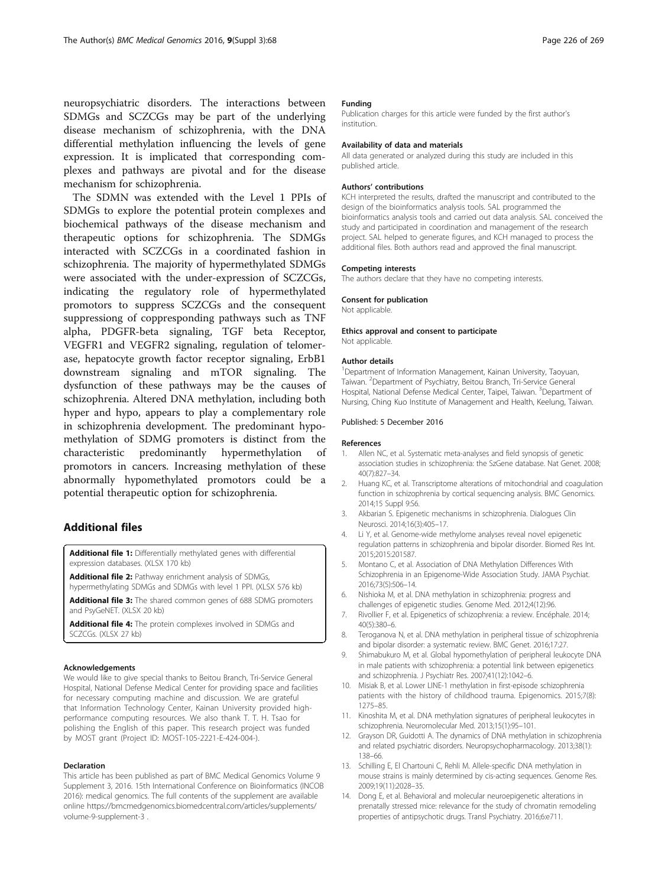<span id="page-9-0"></span>neuropsychiatric disorders. The interactions between SDMGs and SCZCGs may be part of the underlying disease mechanism of schizophrenia, with the DNA differential methylation influencing the levels of gene expression. It is implicated that corresponding complexes and pathways are pivotal and for the disease mechanism for schizophrenia.

The SDMN was extended with the Level 1 PPIs of SDMGs to explore the potential protein complexes and biochemical pathways of the disease mechanism and therapeutic options for schizophrenia. The SDMGs interacted with SCZCGs in a coordinated fashion in schizophrenia. The majority of hypermethylated SDMGs were associated with the under-expression of SCZCGs, indicating the regulatory role of hypermethylated promotors to suppress SCZCGs and the consequent suppressiong of coppresponding pathways such as TNF alpha, PDGFR-beta signaling, TGF beta Receptor, VEGFR1 and VEGFR2 signaling, regulation of telomerase, hepatocyte growth factor receptor signaling, ErbB1 downstream signaling and mTOR signaling. The dysfunction of these pathways may be the causes of schizophrenia. Altered DNA methylation, including both hyper and hypo, appears to play a complementary role in schizophrenia development. The predominant hypomethylation of SDMG promoters is distinct from the characteristic predominantly hypermethylation of promotors in cancers. Increasing methylation of these abnormally hypomethylated promotors could be a potential therapeutic option for schizophrenia.

#### Additional files

[Additional file 1:](dx.doi.org/10.1186/s12920-016-0229-y) Differentially methylated genes with differential expression databases. (XLSX 170 kb)

[Additional file 2:](dx.doi.org/10.1186/s12920-016-0229-y) Pathway enrichment analysis of SDMGs, hypermethylating SDMGs and SDMGs with level 1 PPI. (XLSX 576 kb)

[Additional file 3:](dx.doi.org/10.1186/s12920-016-0229-y) The shared common genes of 688 SDMG promoters and PsyGeNET. (XLSX 20 kb)

[Additional file 4:](dx.doi.org/10.1186/s12920-016-0229-y) The protein complexes involved in SDMGs and SCZCGs. (XLSX 27 kb)

#### Acknowledgements

We would like to give special thanks to Beitou Branch, Tri-Service General Hospital, National Defense Medical Center for providing space and facilities for necessary computing machine and discussion. We are grateful that Information Technology Center, Kainan University provided highperformance computing resources. We also thank T. T. H. Tsao for polishing the English of this paper. This research project was funded by MOST grant (Project ID: MOST-105-2221-E-424-004-).

#### Declaration

This article has been published as part of BMC Medical Genomics Volume 9 Supplement 3, 2016. 15th International Conference on Bioinformatics (INCOB 2016): medical genomics. The full contents of the supplement are available online [https://bmcmedgenomics.biomedcentral.com/articles/supplements/](https://bmcmedgenomics.biomedcentral.com/articles/supplements/volume-9-supplement-3) [volume-9-supplement-3](https://bmcmedgenomics.biomedcentral.com/articles/supplements/volume-9-supplement-3) .

#### Funding

Publication charges for this article were funded by the first author's institution.

#### Availability of data and materials

All data generated or analyzed during this study are included in this published article.

#### Authors' contributions

KCH interpreted the results, drafted the manuscript and contributed to the design of the bioinformatics analysis tools. SAL programmed the bioinformatics analysis tools and carried out data analysis. SAL conceived the study and participated in coordination and management of the research project. SAL helped to generate figures, and KCH managed to process the additional files. Both authors read and approved the final manuscript.

#### Competing interests

The authors declare that they have no competing interests.

#### Consent for publication

Not applicable.

#### Ethics approval and consent to participate

Not applicable.

#### Author details

<sup>1</sup>Department of Information Management, Kainan University, Taoyuan Taiwan. <sup>2</sup> Department of Psychiatry, Beitou Branch, Tri-Service General Hospital, National Defense Medical Center, Taipei, Taiwan. <sup>3</sup>Department of Nursing, Ching Kuo Institute of Management and Health, Keelung, Taiwan.

#### Published: 5 December 2016

#### References

- 1. Allen NC, et al. Systematic meta-analyses and field synopsis of genetic association studies in schizophrenia: the SzGene database. Nat Genet. 2008; 40(7):827–34.
- 2. Huang KC, et al. Transcriptome alterations of mitochondrial and coagulation function in schizophrenia by cortical sequencing analysis. BMC Genomics. 2014;15 Suppl 9:S6.
- 3. Akbarian S. Epigenetic mechanisms in schizophrenia. Dialogues Clin Neurosci. 2014;16(3):405–17.
- 4. Li Y, et al. Genome-wide methylome analyses reveal novel epigenetic regulation patterns in schizophrenia and bipolar disorder. Biomed Res Int. 2015;2015:201587.
- 5. Montano C, et al. Association of DNA Methylation Differences With Schizophrenia in an Epigenome-Wide Association Study. JAMA Psychiat. 2016;73(5):506–14.
- 6. Nishioka M, et al. DNA methylation in schizophrenia: progress and challenges of epigenetic studies. Genome Med. 2012;4(12):96.
- 7. Rivollier F, et al. Epigenetics of schizophrenia: a review. Encéphale. 2014; 40(5):380–6.
- 8. Teroganova N, et al. DNA methylation in peripheral tissue of schizophrenia and bipolar disorder: a systematic review. BMC Genet. 2016;17:27.
- 9. Shimabukuro M, et al. Global hypomethylation of peripheral leukocyte DNA in male patients with schizophrenia: a potential link between epigenetics and schizophrenia. J Psychiatr Res. 2007;41(12):1042–6.
- 10. Misiak B, et al. Lower LINE-1 methylation in first-episode schizophrenia patients with the history of childhood trauma. Epigenomics. 2015;7(8): 1275–85.
- 11. Kinoshita M, et al. DNA methylation signatures of peripheral leukocytes in schizophrenia. Neuromolecular Med. 2013;15(1):95–101.
- 12. Grayson DR, Guidotti A. The dynamics of DNA methylation in schizophrenia and related psychiatric disorders. Neuropsychopharmacology. 2013;38(1): 138–66.
- 13. Schilling E, El Chartouni C, Rehli M. Allele-specific DNA methylation in mouse strains is mainly determined by cis-acting sequences. Genome Res. 2009;19(11):2028–35.
- 14. Dong E, et al. Behavioral and molecular neuroepigenetic alterations in prenatally stressed mice: relevance for the study of chromatin remodeling properties of antipsychotic drugs. Transl Psychiatry. 2016;6:e711.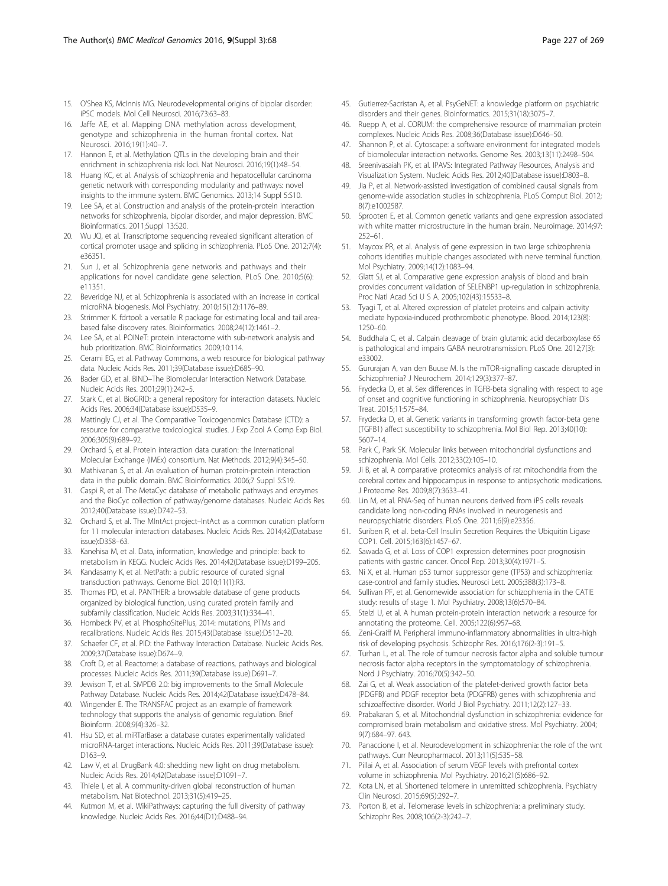- <span id="page-10-0"></span>15. O'Shea KS, McInnis MG. Neurodevelopmental origins of bipolar disorder: iPSC models. Mol Cell Neurosci. 2016;73:63–83.
- 16. Jaffe AE, et al. Mapping DNA methylation across development, genotype and schizophrenia in the human frontal cortex. Nat Neurosci. 2016;19(1):40–7.
- 17. Hannon E, et al. Methylation QTLs in the developing brain and their enrichment in schizophrenia risk loci. Nat Neurosci. 2016;19(1):48–54.
- 18. Huang KC, et al. Analysis of schizophrenia and hepatocellular carcinoma genetic network with corresponding modularity and pathways: novel insights to the immune system. BMC Genomics. 2013;14 Suppl 5:S10.
- 19. Lee SA, et al. Construction and analysis of the protein-protein interaction networks for schizophrenia, bipolar disorder, and major depression. BMC Bioinformatics. 2011;Suppl 13:S20.
- 20. Wu JQ, et al. Transcriptome sequencing revealed significant alteration of cortical promoter usage and splicing in schizophrenia. PLoS One. 2012;7(4): e36351.
- 21. Sun J, et al. Schizophrenia gene networks and pathways and their applications for novel candidate gene selection. PLoS One. 2010;5(6): e11351.
- 22. Beveridge NJ, et al. Schizophrenia is associated with an increase in cortical microRNA biogenesis. Mol Psychiatry. 2010;15(12):1176–89.
- 23. Strimmer K. fdrtool: a versatile R package for estimating local and tail areabased false discovery rates. Bioinformatics. 2008;24(12):1461–2.
- 24. Lee SA, et al. POINeT: protein interactome with sub-network analysis and hub prioritization. BMC Bioinformatics. 2009;10:114.
- 25. Cerami EG, et al. Pathway Commons, a web resource for biological pathway data. Nucleic Acids Res. 2011;39(Database issue):D685–90.
- 26. Bader GD, et al. BIND–The Biomolecular Interaction Network Database. Nucleic Acids Res. 2001;29(1):242–5.
- 27. Stark C, et al. BioGRID: a general repository for interaction datasets. Nucleic Acids Res. 2006;34(Database issue):D535–9.
- 28. Mattingly CJ, et al. The Comparative Toxicogenomics Database (CTD): a resource for comparative toxicological studies. J Exp Zool A Comp Exp Biol. 2006;305(9):689–92.
- 29. Orchard S, et al. Protein interaction data curation: the International Molecular Exchange (IMEx) consortium. Nat Methods. 2012;9(4):345–50.
- 30. Mathivanan S, et al. An evaluation of human protein-protein interaction data in the public domain. BMC Bioinformatics. 2006;7 Suppl 5:S19.
- 31. Caspi R, et al. The MetaCyc database of metabolic pathways and enzymes and the BioCyc collection of pathway/genome databases. Nucleic Acids Res. 2012;40(Database issue):D742–53.
- 32. Orchard S, et al. The MIntAct project–IntAct as a common curation platform for 11 molecular interaction databases. Nucleic Acids Res. 2014;42(Database issue):D358–63.
- 33. Kanehisa M, et al. Data, information, knowledge and principle: back to metabolism in KEGG. Nucleic Acids Res. 2014;42(Database issue):D199–205.
- 34. Kandasamy K, et al. NetPath: a public resource of curated signal transduction pathways. Genome Biol. 2010;11(1):R3.
- 35. Thomas PD, et al. PANTHER: a browsable database of gene products organized by biological function, using curated protein family and subfamily classification. Nucleic Acids Res. 2003;31(1):334–41.
- 36. Hornbeck PV, et al. PhosphoSitePlus, 2014: mutations, PTMs and recalibrations. Nucleic Acids Res. 2015;43(Database issue):D512–20.
- 37. Schaefer CF, et al. PID: the Pathway Interaction Database. Nucleic Acids Res. 2009;37(Database issue):D674–9.
- 38. Croft D, et al. Reactome: a database of reactions, pathways and biological processes. Nucleic Acids Res. 2011;39(Database issue):D691–7.
- 39. Jewison T, et al. SMPDB 2.0: big improvements to the Small Molecule Pathway Database. Nucleic Acids Res. 2014;42(Database issue):D478–84.
- 40. Wingender E. The TRANSFAC project as an example of framework technology that supports the analysis of genomic regulation. Brief Bioinform. 2008;9(4):326–32.
- 41. Hsu SD, et al. miRTarBase: a database curates experimentally validated microRNA-target interactions. Nucleic Acids Res. 2011;39(Database issue): D163–9.
- 42. Law V, et al. DrugBank 4.0: shedding new light on drug metabolism. Nucleic Acids Res. 2014;42(Database issue):D1091–7.
- 43. Thiele I, et al. A community-driven global reconstruction of human metabolism. Nat Biotechnol. 2013;31(5):419–25.
- 44. Kutmon M, et al. WikiPathways: capturing the full diversity of pathway knowledge. Nucleic Acids Res. 2016;44(D1):D488–94.
- 45. Gutierrez-Sacristan A, et al. PsyGeNET: a knowledge platform on psychiatric disorders and their genes. Bioinformatics. 2015;31(18):3075–7.
- Ruepp A, et al. CORUM: the comprehensive resource of mammalian protein complexes. Nucleic Acids Res. 2008;36(Database issue):D646–50.
- 47. Shannon P, et al. Cytoscape: a software environment for integrated models of biomolecular interaction networks. Genome Res. 2003;13(11):2498–504.
- 48. Sreenivasaiah PK, et al. IPAVS: Integrated Pathway Resources, Analysis and Visualization System. Nucleic Acids Res. 2012;40(Database issue):D803–8.
- 49. Jia P, et al. Network-assisted investigation of combined causal signals from genome-wide association studies in schizophrenia. PLoS Comput Biol. 2012; 8(7):e1002587.
- 50. Sprooten E, et al. Common genetic variants and gene expression associated with white matter microstructure in the human brain. Neuroimage. 2014;97: 252–61.
- 51. Maycox PR, et al. Analysis of gene expression in two large schizophrenia cohorts identifies multiple changes associated with nerve terminal function. Mol Psychiatry. 2009;14(12):1083–94.
- 52. Glatt SJ, et al. Comparative gene expression analysis of blood and brain provides concurrent validation of SELENBP1 up-regulation in schizophrenia. Proc Natl Acad Sci U S A. 2005;102(43):15533–8.
- 53. Tyagi T, et al. Altered expression of platelet proteins and calpain activity mediate hypoxia-induced prothrombotic phenotype. Blood. 2014;123(8): 1250–60.
- 54. Buddhala C, et al. Calpain cleavage of brain glutamic acid decarboxylase 65 is pathological and impairs GABA neurotransmission. PLoS One. 2012;7(3): e33002.
- 55. Gururajan A, van den Buuse M. Is the mTOR-signalling cascade disrupted in Schizophrenia? J Neurochem. 2014;129(3):377–87.
- 56. Frydecka D, et al. Sex differences in TGFB-beta signaling with respect to age of onset and cognitive functioning in schizophrenia. Neuropsychiatr Dis Treat. 2015;11:575–84.
- 57. Frydecka D, et al. Genetic variants in transforming growth factor-beta gene (TGFB1) affect susceptibility to schizophrenia. Mol Biol Rep. 2013;40(10): 5607–14.
- 58. Park C, Park SK. Molecular links between mitochondrial dysfunctions and schizophrenia. Mol Cells. 2012;33(2):105–10.
- 59. Ji B, et al. A comparative proteomics analysis of rat mitochondria from the cerebral cortex and hippocampus in response to antipsychotic medications. J Proteome Res. 2009;8(7):3633–41.
- 60. Lin M, et al. RNA-Seq of human neurons derived from iPS cells reveals candidate long non-coding RNAs involved in neurogenesis and neuropsychiatric disorders. PLoS One. 2011;6(9):e23356.
- 61. Suriben R, et al. beta-Cell Insulin Secretion Requires the Ubiquitin Ligase COP1. Cell. 2015;163(6):1457–67.
- 62. Sawada G, et al. Loss of COP1 expression determines poor prognosisin patients with gastric cancer. Oncol Rep. 2013;30(4):1971–5.
- Ni X, et al. Human p53 tumor suppressor gene (TP53) and schizophrenia: case-control and family studies. Neurosci Lett. 2005;388(3):173–8.
- 64. Sullivan PF, et al. Genomewide association for schizophrenia in the CATIE study: results of stage 1. Mol Psychiatry. 2008;13(6):570–84.
- 65. Stelzl U, et al. A human protein-protein interaction network: a resource for annotating the proteome. Cell. 2005;122(6):957–68.
- 66. Zeni-Graiff M. Peripheral immuno-inflammatory abnormalities in ultra-high risk of developing psychosis. Schizophr Res. 2016;176(2-3):191–5.
- 67. Turhan L, et al. The role of tumour necrosis factor alpha and soluble tumour necrosis factor alpha receptors in the symptomatology of schizophrenia. Nord J Psychiatry. 2016;70(5):342–50.
- 68. Zai G, et al. Weak association of the platelet-derived growth factor beta (PDGFB) and PDGF receptor beta (PDGFRB) genes with schizophrenia and schizoaffective disorder. World J Biol Psychiatry. 2011;12(2):127–33.
- 69. Prabakaran S, et al. Mitochondrial dysfunction in schizophrenia: evidence for compromised brain metabolism and oxidative stress. Mol Psychiatry. 2004; 9(7):684–97. 643.
- 70. Panaccione I, et al. Neurodevelopment in schizophrenia: the role of the wnt pathways. Curr Neuropharmacol. 2013;11(5):535–58.
- 71. Pillai A, et al. Association of serum VEGF levels with prefrontal cortex volume in schizophrenia. Mol Psychiatry. 2016;21(5):686–92.
- 72. Kota LN, et al. Shortened telomere in unremitted schizophrenia. Psychiatry Clin Neurosci. 2015;69(5):292–7.
- 73. Porton B, et al. Telomerase levels in schizophrenia: a preliminary study. Schizophr Res. 2008;106(2-3):242–7.